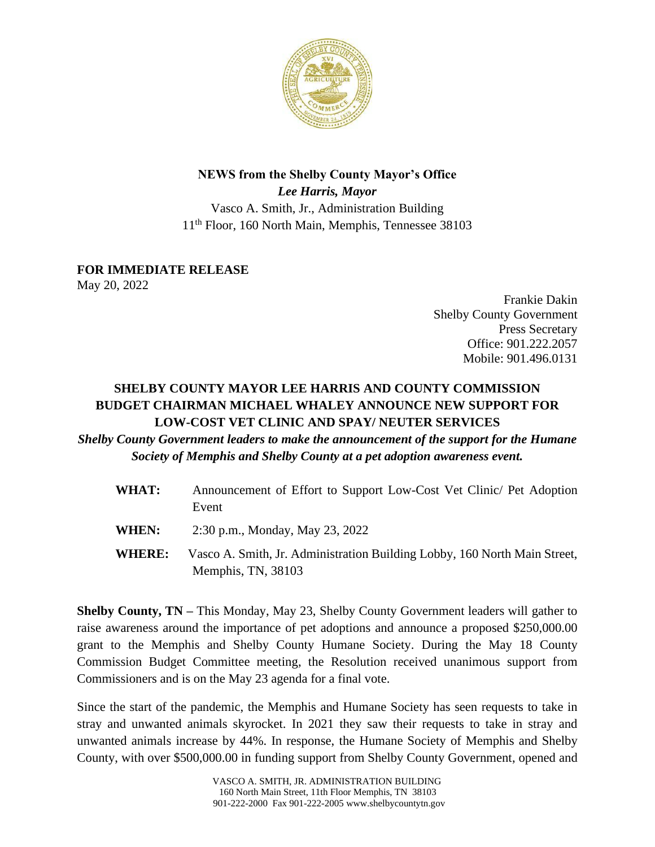

## **NEWS from the Shelby County Mayor's Office** *Lee Harris, Mayor* Vasco A. Smith, Jr., Administration Building 11th Floor, 160 North Main, Memphis, Tennessee 38103

## **FOR IMMEDIATE RELEASE**

May 20, 2022

Frankie Dakin Shelby County Government Press Secretary Office: 901.222.2057 Mobile: 901.496.0131

## **SHELBY COUNTY MAYOR LEE HARRIS AND COUNTY COMMISSION BUDGET CHAIRMAN MICHAEL WHALEY ANNOUNCE NEW SUPPORT FOR LOW-COST VET CLINIC AND SPAY/ NEUTER SERVICES**

## *Shelby County Government leaders to make the announcement of the support for the Humane Society of Memphis and Shelby County at a pet adoption awareness event.*

| WHAT:         | Announcement of Effort to Support Low-Cost Vet Clinic/ Pet Adoption<br>Event                    |
|---------------|-------------------------------------------------------------------------------------------------|
| WHEN:         | 2:30 p.m., Monday, May 23, 2022                                                                 |
| <b>WHERE:</b> | Vasco A. Smith, Jr. Administration Building Lobby, 160 North Main Street,<br>Memphis, TN, 38103 |

**Shelby County, TN –** This Monday, May 23, Shelby County Government leaders will gather to raise awareness around the importance of pet adoptions and announce a proposed \$250,000.00 grant to the Memphis and Shelby County Humane Society. During the May 18 County Commission Budget Committee meeting, the Resolution received unanimous support from Commissioners and is on the May 23 agenda for a final vote.

Since the start of the pandemic, the Memphis and Humane Society has seen requests to take in stray and unwanted animals skyrocket. In 2021 they saw their requests to take in stray and unwanted animals increase by 44%. In response, the Humane Society of Memphis and Shelby County, with over \$500,000.00 in funding support from Shelby County Government, opened and